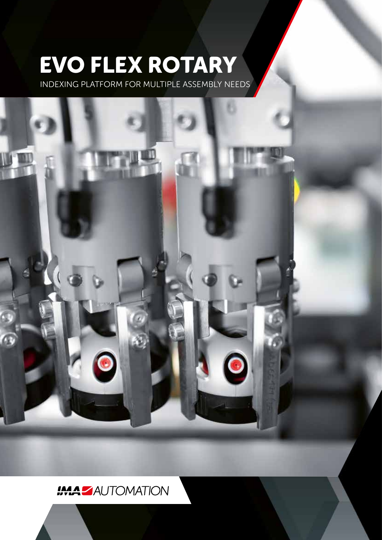# **EVO FLEX ROTARY**

INDEXING PLATFORM FOR MULTIPLE ASSEMBLY NEEDS



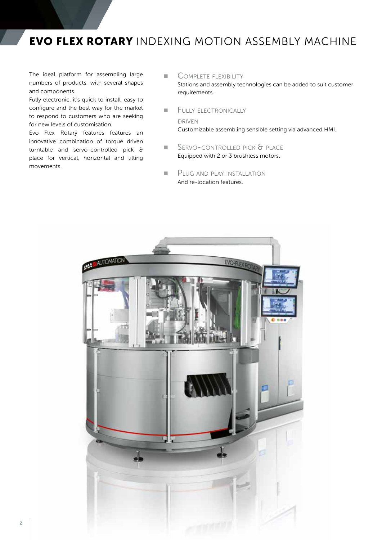### **EVO FLEX ROTARY** INDEXING MOTION ASSEMBLY MACHINE

The ideal platform for assembling large numbers of products, with several shapes and components.

Fully electronic, it's quick to install, easy to configure and the best way for the market to respond to customers who are seeking for new levels of customisation.

Evo Flex Rotary features features an innovative combination of torque driven turntable and servo-controlled pick & place for vertical, horizontal and tilting movements.

#### ■ COMPLETE FLEXIBILITY

Stations and assembly technologies can be added to suit customer requirements.

**ELLIY ELECTRONICALLY** 

driven

Customizable assembling sensible setting via advanced HMI.

- SERVO-CONTROLLED PICK & PLACE Equipped with 2 or 3 brushless motors.
- **E** PLUG AND PLAY INSTALLATION And re-location features.

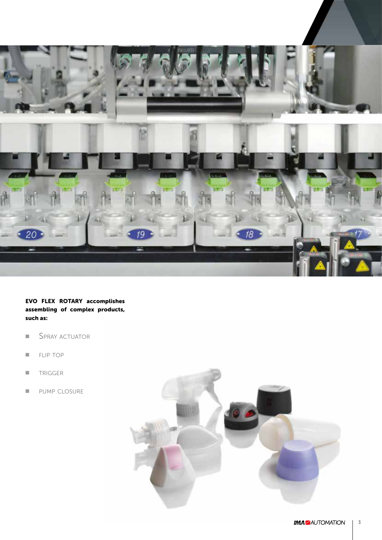

**EVO FLEX ROTARY accomplishes assembling of complex products, such as:**

- SPRAY ACTUATOR
- FLIP TOP
- TRIGGER
- PUMP CLOSURE